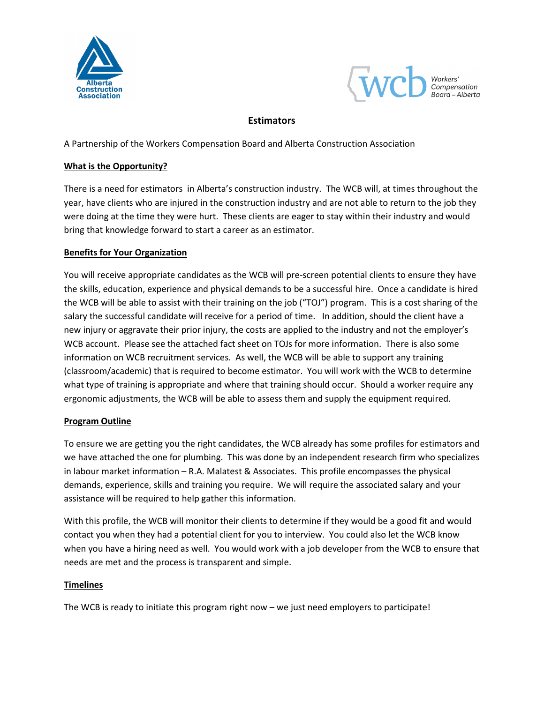



# **Estimators**

A Partnership of the Workers Compensation Board and Alberta Construction Association

### What is the Opportunity?

There is a need for estimators in Alberta's construction industry. The WCB will, at times throughout the year, have clients who are injured in the construction industry and are not able to return to the job they were doing at the time they were hurt. These clients are eager to stay within their industry and would bring that knowledge forward to start a career as an estimator.

# Benefits for Your Organization

You will receive appropriate candidates as the WCB will pre-screen potential clients to ensure they have the skills, education, experience and physical demands to be a successful hire. Once a candidate is hired the WCB will be able to assist with their training on the job ("TOJ") program. This is a cost sharing of the salary the successful candidate will receive for a period of time. In addition, should the client have a new injury or aggravate their prior injury, the costs are applied to the industry and not the employer's WCB account. Please see the attached fact sheet on TOJs for more information. There is also some information on WCB recruitment services. As well, the WCB will be able to support any training (classroom/academic) that is required to become estimator. You will work with the WCB to determine what type of training is appropriate and where that training should occur. Should a worker require any ergonomic adjustments, the WCB will be able to assess them and supply the equipment required.

### Program Outline

To ensure we are getting you the right candidates, the WCB already has some profiles for estimators and we have attached the one for plumbing. This was done by an independent research firm who specializes in labour market information – R.A. Malatest & Associates. This profile encompasses the physical demands, experience, skills and training you require. We will require the associated salary and your assistance will be required to help gather this information.

With this profile, the WCB will monitor their clients to determine if they would be a good fit and would contact you when they had a potential client for you to interview. You could also let the WCB know when you have a hiring need as well. You would work with a job developer from the WCB to ensure that needs are met and the process is transparent and simple.

### **Timelines**

The WCB is ready to initiate this program right now – we just need employers to participate!